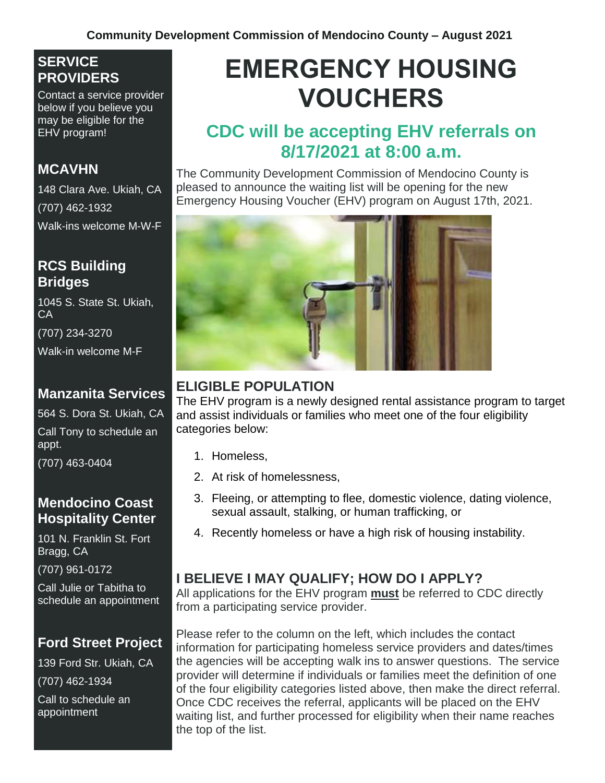#### **SERVICE PROVIDERS**

Contact a service provider below if you believe you may be eligible for the EHV program!

#### **MCAVHN**

148 Clara Ave. Ukiah, CA (707) 462-1932 Walk-ins welcome M-W-F

#### **RCS Building Bridges**

1045 S. State St. Ukiah, CA

(707) 234-3270 Walk-in welcome M-F

#### **Manzanita Services**

564 S. Dora St. Ukiah, CA

Call Tony to schedule an appt.

(707) 463-0404

#### **Mendocino Coast Hospitality Center**

101 N. Franklin St. Fort Bragg, CA

(707) 961-0172

Call Julie or Tabitha to schedule an appointment

## **Ford Street Project**

139 Ford Str. Ukiah, CA (707) 462-1934

Call to schedule an appointment

# **EMERGENCY HOUSING VOUCHERS**

## **CDC will be accepting EHV referrals on 8/17/2021 at 8:00 a.m.**

The Community Development Commission of Mendocino County is pleased to announce the waiting list will be opening for the new Emergency Housing Voucher (EHV) program on August 17th, 2021.



#### **ELIGIBLE POPULATION**

The EHV program is a newly designed rental assistance program to target and assist individuals or families who meet one of the four eligibility categories below:

- 1. Homeless,
- 2. At risk of homelessness,
- 3. Fleeing, or attempting to flee, domestic violence, dating violence, sexual assault, stalking, or human trafficking, or
- 4. Recently homeless or have a high risk of housing instability.

### **I BELIEVE I MAY QUALIFY; HOW DO I APPLY?**

All applications for the EHV program **must** be referred to CDC directly from a participating service provider.

Please refer to the column on the left, which includes the contact information for participating homeless service providers and dates/times the agencies will be accepting walk ins to answer questions. The service provider will determine if individuals or families meet the definition of one of the four eligibility categories listed above, then make the direct referral. Once CDC receives the referral, applicants will be placed on the EHV waiting list, and further processed for eligibility when their name reaches the top of the list.